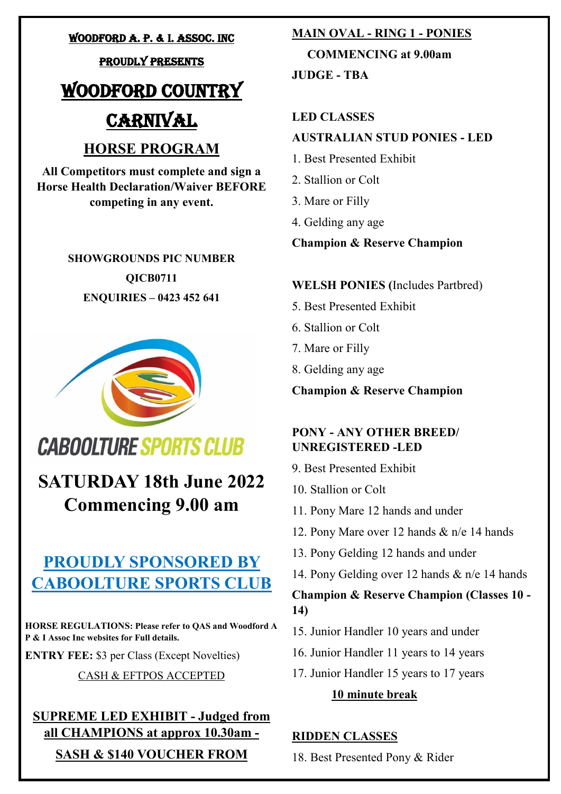### WOODFORD a. p. & i. Assoc. Inc

### proudly presents

### WOODFORD COUNTRY

### **CARNIVAL**

### **HORSE PROGRAM**

**All Competitors must complete and sign a Horse Health Declaration/Waiver BEFORE competing in any event.**

> **SHOWGROUNDS PIC NUMBER QICB0711 ENQUIRIES – 0423 452 641**



### **CABOOLTURE SPORTS CLUB**

**SATURDAY 18th June 2022 Commencing 9.00 am**

### **PROUDLY SPONSORED BY CABOOLTURE SPORTS CLUB**

**HORSE REGULATIONS: Please refer to QAS and Woodford A P & I Assoc Inc websites for Full details.**

**ENTRY FEE:** \$3 per Class (Except Novelties)

### CASH & EFTPOS ACCEPTED

### **SUPREME LED EXHIBIT - Judged from all CHAMPIONS at approx 10.30am -**

**SASH & \$140 VOUCHER FROM** 

### **MAIN OVAL - RING 1 - PONIES**

 **COMMENCING at 9.00am**

**JUDGE - TBA**

### **LED CLASSES**

### **AUSTRALIAN STUD PONIES - LED**

- 1. Best Presented Exhibit
- 2. Stallion or Colt
- 3. Mare or Filly
- 4. Gelding any age

### **Champion & Reserve Champion**

### **WELSH PONIES (**Includes Partbred)

- 5. Best Presented Exhibit
- 6. Stallion or Colt
- 7. Mare or Filly
- 8. Gelding any age

**Champion & Reserve Champion**

### **PONY - ANY OTHER BREED/ UNREGISTERED -LED**

9. Best Presented Exhibit

- 10. Stallion or Colt
- 11. Pony Mare 12 hands and under
- 12. Pony Mare over 12 hands & n/e 14 hands
- 13. Pony Gelding 12 hands and under
- 14. Pony Gelding over 12 hands & n/e 14 hands

### **Champion & Reserve Champion (Classes 10 - 14)**

- 15. Junior Handler 10 years and under
- 16. Junior Handler 11 years to 14 years
- 17. Junior Handler 15 years to 17 years

### **10 minute break**

### **RIDDEN CLASSES**

18. Best Presented Pony & Rider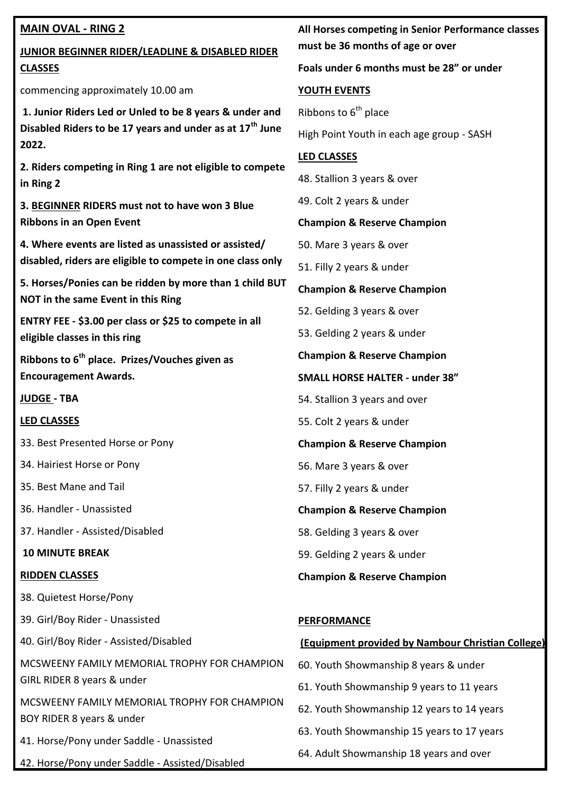### **MAIN OVAL - RING 2**

### **JUNIOR BEGINNER RIDER/LEADLINE & DISABLED RIDER CLASSES**

commencing approximately 10.00 am

**1. Junior Riders Led or Unled to be 8 years & under and Disabled Riders to be 17 years and under as at 17th June 2022.**

**2. Riders competing in Ring 1 are not eligible to compete in Ring 2** 

**3. BEGINNER RIDERS must not to have won 3 Blue Ribbons in an Open Event** 

**4. Where events are listed as unassisted or assisted/ disabled, riders are eligible to compete in one class only**

**5. Horses/Ponies can be ridden by more than 1 child BUT NOT in the same Event in this Ring**

**ENTRY FEE - \$3.00 per class or \$25 to compete in all eligible classes in this ring** 

**Ribbons to 6th place. Prizes/Vouches given as Encouragement Awards.** 

**JUDGE - TBA**

### **LED CLASSES**

33. Best Presented Horse or Pony

34. Hairiest Horse or Pony

35. Best Mane and Tail

36. Handler - Unassisted

37. Handler - Assisted/Disabled

**10 MINUTE BREAK**

### **RIDDEN CLASSES**

38. Quietest Horse/Pony

39. Girl/Boy Rider - Unassisted

40. Girl/Boy Rider - Assisted/Disabled

MCSWEENY FAMILY MEMORIAL TROPHY FOR CHAMPION GIRL RIDER 8 years & under

MCSWEENY FAMILY MEMORIAL TROPHY FOR CHAMPION BOY RIDER 8 years & under

41. Horse/Pony under Saddle - Unassisted

42. Horse/Pony under Saddle - Assisted/Disabled

### **All Horses competing in Senior Performance classes must be 36 months of age or over**

### **Foals under 6 months must be 28" or under**

### **YOUTH EVENTS**

Ribbons to  $6<sup>th</sup>$  place

High Point Youth in each age group - SASH

### **LED CLASSES**

48. Stallion 3 years & over

49. Colt 2 years & under

### **Champion & Reserve Champion**

50. Mare 3 years & over

51. Filly 2 years & under

**Champion & Reserve Champion** 

52. Gelding 3 years & over

53. Gelding 2 years & under

**Champion & Reserve Champion**

**SMALL HORSE HALTER - under 38"**

54. Stallion 3 years and over

55. Colt 2 years & under

**Champion & Reserve Champion** 

56. Mare 3 years & over

57. Filly 2 years & under

**Champion & Reserve Champion** 

58. Gelding 3 years & over

59. Gelding 2 years & under

**Champion & Reserve Champion** 

### **PERFORMANCE**

### **(Equipment provided by Nambour Christian College)**

- 60. Youth Showmanship 8 years & under
- 61. Youth Showmanship 9 years to 11 years

62. Youth Showmanship 12 years to 14 years

- 63. Youth Showmanship 15 years to 17 years
- 64. Adult Showmanship 18 years and over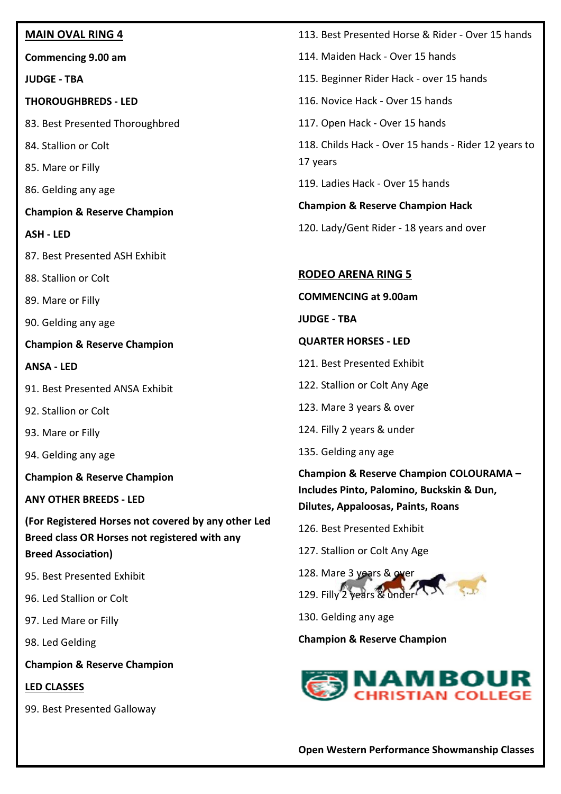### **MAIN OVAL RING 4**

**Commencing 9.00 am**

**JUDGE - TBA**

**THOROUGHBREDS - LED**

83. Best Presented Thoroughbred

84. Stallion or Colt

85. Mare or Filly

86. Gelding any age

**Champion & Reserve Champion** 

**ASH - LED**

- 87. Best Presented ASH Exhibit
- 88. Stallion or Colt

89. Mare or Filly

90. Gelding any age

**Champion & Reserve Champion** 

**ANSA - LED**

- 91. Best Presented ANSA Exhibit
- 92. Stallion or Colt

93. Mare or Filly

94. Gelding any age

**Champion & Reserve Champion** 

**ANY OTHER BREEDS - LED**

**(For Registered Horses not covered by any other Led Breed class OR Horses not registered with any Breed Association)**

95. Best Presented Exhibit

96. Led Stallion or Colt

97. Led Mare or Filly

98. Led Gelding

**Champion & Reserve Champion** 

### **LED CLASSES**

99. Best Presented Galloway

- 113. Best Presented Horse & Rider Over 15 hands
- 114. Maiden Hack Over 15 hands
- 115. Beginner Rider Hack over 15 hands
- 116. Novice Hack Over 15 hands
- 117. Open Hack Over 15 hands

118. Childs Hack - Over 15 hands - Rider 12 years to 17 years

119. Ladies Hack - Over 15 hands

**Champion & Reserve Champion Hack**

120. Lady/Gent Rider - 18 years and over

### **RODEO ARENA RING 5**

**COMMENCING at 9.00am** 

**JUDGE - TBA**

- **QUARTER HORSES - LED**
- 121. Best Presented Exhibit
- 122. Stallion or Colt Any Age
- 123. Mare 3 years & over
- 124. Filly 2 years & under
- 135. Gelding any age

**Champion & Reserve Champion COLOURAMA – Includes Pinto, Palomino, Buckskin & Dun, Dilutes, Appaloosas, Paints, Roans**

126. Best Presented Exhibit

127. Stallion or Colt Any Age



130. Gelding any age

### **Champion & Reserve Champion**

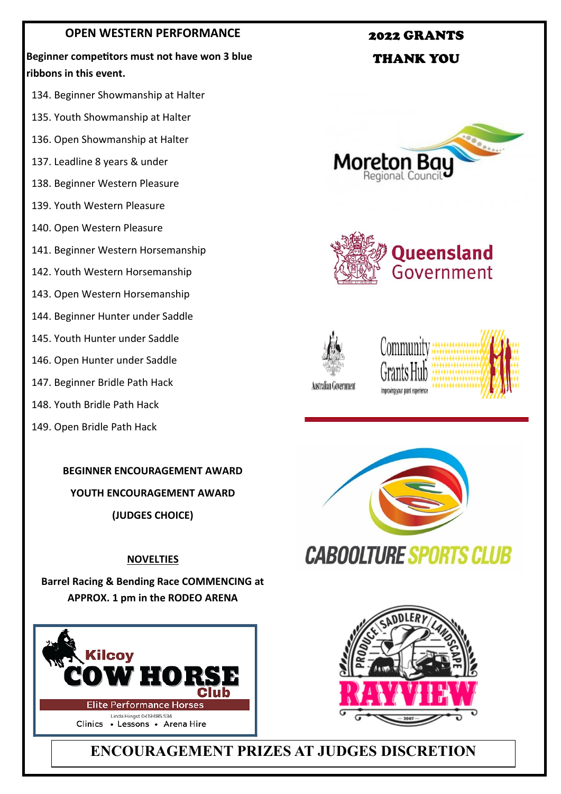### **OPEN WESTERN PERFORMANCE**

**Beginner competitors must not have won 3 blue ribbons in this event.**

- 134. Beginner Showmanship at Halter
- 135. Youth Showmanship at Halter
- 136. Open Showmanship at Halter
- 137. Leadline 8 years & under
- 138. Beginner Western Pleasure
- 139. Youth Western Pleasure
- 140. Open Western Pleasure
- 141. Beginner Western Horsemanship
- 142. Youth Western Horsemanship
- 143. Open Western Horsemanship
- 144. Beginner Hunter under Saddle
- 145. Youth Hunter under Saddle
- 146. Open Hunter under Saddle
- 147. Beginner Bridle Path Hack
- 148. Youth Bridle Path Hack
- 149. Open Bridle Path Hack



**YOUTH ENCOURAGEMENT AWARD**

**(JUDGES CHOICE)** 

### **NOVELTIES**

**Barrel Racing & Bending Race COMMENCING at APPROX. 1 pm in the RODEO ARENA**





### **CABOOLTURE SPORTS CLUB**



**ENCOURAGEMENT PRIZES AT JUDGES DISCRETION**